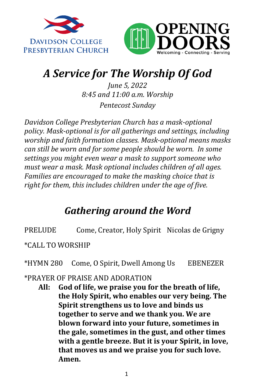



## *A Service for The Worship Of God*

*June 5, 2022 8:45 and 11:00 a.m. Worship Pentecost Sunday*

*Davidson College Presbyterian Church has a mask-optional policy. Mask-optional is for all gatherings and settings, including worship and faith formation classes. Mask-optional means masks can still be worn and for some people should be worn. In some settings you might even wear a mask to support someone who must wear a mask. Mask optional includes children of all ages. Families are encouraged to make the masking choice that is right for them, this includes children under the age of five.* 

## *Gathering around the Word*

PRELUDE Come, Creator, Holy Spirit Nicolas de Grigny

\*CALL TO WORSHIP

\*HYMN 280 Come, O Spirit, Dwell Among Us EBENEZER

#### \*PRAYER OF PRAISE AND ADORATION

**All: God of life, we praise you for the breath of life, the Holy Spirit, who enables our very being. The Spirit strengthens us to love and binds us together to serve and we thank you. We are blown forward into your future, sometimes in the gale, sometimes in the gust, and other times with a gentle breeze. But it is your Spirit, in love, that moves us and we praise you for such love. Amen.**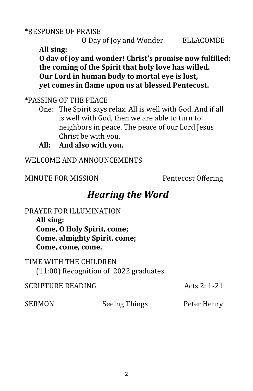\*RESPONSE OF PRAISE

O Day of Joy and Wonder ELLACOMBE

**All sing:**

**O day of joy and wonder! Christ's promise now fulfilled: the coming of the Spirit that holy love has willed. Our Lord in human body to mortal eye is lost, yet comes in flame upon us at blessed Pentecost.**

\*PASSING OF THE PEACE

- One: The Spirit says relax. All is well with God. And if all is well with God, then we are able to turn to neighbors in peace. The peace of our Lord Jesus Christ be with you.
- **All: And also with you.**

WELCOME AND ANNOUNCEMENTS

MINUTE FOR MISSION Pentecost Offering

### *Hearing the Word*

PRAYER FOR ILLUMINATION

**All sing: Come, O Holy Spirit, come; Come, almighty Spirit, come; Come, come, come.**

TIME WITH THE CHILDREN (11:00) Recognition of 2022 graduates.

SERMON Seeing Things Peter Henry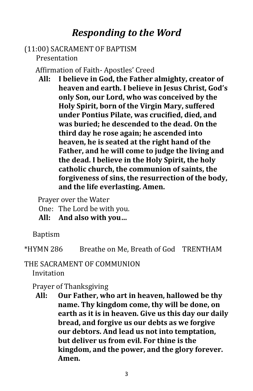### *Responding to the Word*

#### (11:00) SACRAMENT OF BAPTISM Presentation

Affirmation of Faith- Apostles' Creed

**All: I believe in God, the Father almighty, creator of heaven and earth. I believe in Jesus Christ, God's only Son, our Lord, who was conceived by the Holy Spirit, born of the Virgin Mary, suffered under Pontius Pilate, was crucified, died, and was buried; he descended to the dead. On the third day he rose again; he ascended into heaven, he is seated at the right hand of the Father, and he will come to judge the living and the dead. I believe in the Holy Spirit, the holy catholic church, the communion of saints, the forgiveness of sins, the resurrection of the body, and the life everlasting. Amen.**

Prayer over the Water

One: The Lord be with you.

**All: And also with you…**

Baptism

\*HYMN 286 Breathe on Me, Breath of God TRENTHAM

#### THE SACRAMENT OF COMMUNION

Invitation

#### Prayer of Thanksgiving

**All: Our Father, who art in heaven, hallowed be thy name. Thy kingdom come, thy will be done, on earth as it is in heaven. Give us this day our daily bread, and forgive us our debts as we forgive our debtors. And lead us not into temptation, but deliver us from evil. For thine is the kingdom, and the power, and the glory forever. Amen.**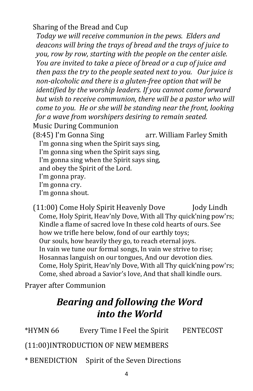Sharing of the Bread and Cup

*Today we will receive communion in the pews. Elders and deacons will bring the trays of bread and the trays of juice to you, row by row, starting with the people on the center aisle. You are invited to take a piece of bread or a cup of juice and then pass the try to the people seated next to you. Our juice is non-alcoholic and there is a gluten-free option that will be identified by the worship leaders. If you cannot come forward but wish to receive communion, there will be a pastor who will come to you. He or she will be standing near the front, looking for a wave from worshipers desiring to remain seated.* Music During Communion (8:45) I'm Gonna Sing arr. William Farley Smith I'm gonna sing when the Spirit says sing, I'm gonna sing when the Spirit says sing, I'm gonna sing when the Spirit says sing, and obey the Spirit of the Lord. I'm gonna pray. I'm gonna cry.

I'm gonna shout.

(11:00) Come Holy Spirit Heavenly Dove Jody Lindh Come, Holy Spirit, Heav'nly Dove, With all Thy quick'ning pow'rs; Kindle a flame of sacred love In these cold hearts of ours. See how we trifle here below, fond of our earthly toys; Our souls, how heavily they go, to reach eternal joys. In vain we tune our formal songs, In vain we strive to rise; Hosannas languish on our tongues, And our devotion dies. Come, Holy Spirit, Heav'nly Dove, With all Thy quick'ning pow'rs; Come, shed abroad a Savior's love, And that shall kindle ours.

Prayer after Communion

## *Bearing and following the Word into the World*

\*HYMN 66 Every Time I Feel the Spirit PENTECOST

(11:00)INTRODUCTION OF NEW MEMBERS

\* BENEDICTION Spirit of the Seven Directions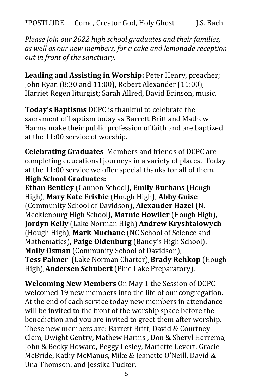*Please join our 2022 high school graduates and their families, as well as our new members, for a cake and lemonade reception out in front of the sanctuary.*

**Leading and Assisting in Worship:** Peter Henry, preacher; John Ryan (8:30 and 11:00), Robert Alexander (11:00), Harriet Regen liturgist; Sarah Allred, David Brinson, music.

**Today's Baptisms** DCPC is thankful to celebrate the sacrament of baptism today as Barrett Britt and Mathew Harms make their public profession of faith and are baptized at the 11:00 service of worship.

**Celebrating Graduates** Members and friends of DCPC are completing educational journeys in a variety of places. Today at the 11:00 service we offer special thanks for all of them. **High School Graduates:**

**Ethan Bentley** (Cannon School), **Emily Burhans** (Hough High), **Mary Kate Frisbie** (Hough High), **Abby Guise**  (Community School of Davidson), **Alexander Hazel** (N. Mecklenburg High School), **Marnie Howiler** (Hough High), **Jordyn Kelly** (Lake Norman High) **Andrew Kryshtalowych**  (Hough High), **Mark Muchane** (NC School of Science and Mathematics), **Paige Oldenburg** (Bandy's High School), **Molly Osman** (Community School of Davidson), **Tess Palmer** (Lake Norman Charter),**Brady Rehkop** (Hough High),**Andersen Schubert** (Pine Lake Preparatory).

**Welcoming New Members** On May 1 the Session of DCPC welcomed 19 new members into the life of our congregation. At the end of each service today new members in attendance will be invited to the front of the worship space before the benediction and you are invited to greet them after worship. These new members are: Barrett Britt, David & Courtney Clem, Dwight Gentry, Mathew Harms , Don & Sheryl Herrema, John & Becky Howard, Peggy Lesley, Mariette Levert, Gracie McBride, Kathy McManus, Mike & Jeanette O'Neill, David & Una Thomson, and Jessika Tucker.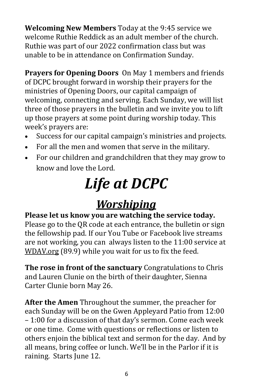**Welcoming New Members** Today at the 9:45 service we welcome Ruthie Reddick as an adult member of the church. Ruthie was part of our 2022 confirmation class but was unable to be in attendance on Confirmation Sunday.

**Prayers for Opening Doors** On May 1 members and friends of DCPC brought forward in worship their prayers for the ministries of Opening Doors, our capital campaign of welcoming, connecting and serving. Each Sunday, we will list three of those prayers in the bulletin and we invite you to lift up those prayers at some point during worship today. This week's prayers are:

- Success for our capital campaign's ministries and projects.
- For all the men and women that serve in the military.
- For our children and grandchildren that they may grow to know and love the Lord.

# *Life at DCPC*

## *Worshiping*

#### **Please let us know you are watching the service today.** Please go to the QR code at each entrance, the bulletin or sign the fellowship pad. If our You Tube or Facebook live streams

are not working, you can always listen to the 11:00 service at [WDAV.org](https://www.wdav.org/) (89.9) while you wait for us to fix the feed.

**The rose in front of the sanctuary** Congratulations to Chris and Lauren Clunie on the birth of their daughter, Sienna Carter Clunie born May 26.

**After the Amen** Throughout the summer, the preacher for each Sunday will be on the Gwen Appleyard Patio from 12:00 – 1:00 for a discussion of that day's sermon. Come each week or one time. Come with questions or reflections or listen to others enjoin the biblical text and sermon for the day. And by all means, bring coffee or lunch. We'll be in the Parlor if it is raining. Starts June 12.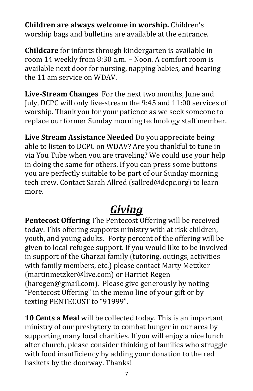**Children are always welcome in worship.** Children's worship bags and bulletins are available at the entrance.

**Childcare** for infants through kindergarten is available in room 14 weekly from 8:30 a.m. – Noon. A comfort room is available next door for nursing, napping babies, and hearing the 11 am service on WDAV.

**Live-Stream Changes** For the next two months, June and July, DCPC will only live-stream the 9:45 and 11:00 services of worship. Thank you for your patience as we seek someone to replace our former Sunday morning technology staff member.

**Live Stream Assistance Needed** Do you appreciate being able to listen to DCPC on WDAV? Are you thankful to tune in via You Tube when you are traveling? We could use your help in doing the same for others. If you can press some buttons you are perfectly suitable to be part of our Sunday morning tech crew. Contact Sarah Allred (sallred@dcpc.org) to learn more.

## *Giving*

**Pentecost Offering** The Pentecost Offering will be received today. This offering supports ministry with at risk children, youth, and young adults. Forty percent of the offering will be given to local refugee support. If you would like to be involved in support of the Gharzai family (tutoring, outings, activities with family members, etc.) please contact Marty Metzker [\(martinmetzker@live.com\)](mailto:martinmetzker@live.com) or Harriet Regen [\(haregen@gmail.com\).](mailto:haregen@gmail.com) Please give generously by noting "Pentecost Offering" in the memo line of your gift or by texting PENTECOST to "91999".

**10 Cents a Meal** will be collected today. This is an important ministry of our presbytery to combat hunger in our area by supporting many local charities. If you will enjoy a nice lunch after church, please consider thinking of families who struggle with food insufficiency by adding your donation to the red baskets by the doorway. Thanks!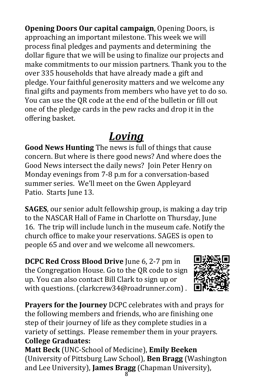**Opening Doors Our capital campaign**, Opening Doors, is approaching an important milestone. This week we will process final pledges and payments and determining the dollar figure that we will be using to finalize our projects and make commitments to our mission partners. Thank you to the over 335 households that have already made a gift and pledge. Your faithful generosity matters and we welcome any final gifts and payments from members who have yet to do so. You can use the QR code at the end of the bulletin or fill out one of the pledge cards in the pew racks and drop it in the offering basket.

## *Loving*

**Good News Hunting** The news is full of things that cause concern. But where is there good news? And where does the Good News intersect the daily news? Join Peter Henry on Monday evenings from 7-8 p.m for a conversation-based summer series. We'll meet on the Gwen Appleyard Patio. Starts June 13.

**SAGES**, our senior adult fellowship group, is making a day trip to the NASCAR Hall of Fame in Charlotte on Thursday, June 16. The trip will include lunch in the museum cafe. Notify the church office to make your reservations. SAGES is open to people 65 and over and we welcome all newcomers.

**DCPC Red Cross Blood Drive** June 6, 2-7 pm in the Congregation House. Go to the QR code to sign up. You can also contact Bill Clark to sign up or with questions. (clarkcrew34@roadrunner.com) .



**Prayers for the Journey** DCPC celebrates with and prays for the following members and friends, who are finishing one step of their journey of life as they complete studies in a variety of settings. Please remember them in your prayers. **College Graduates:**

**Matt Beck** (UNC-School of Medicine), **Emily Beeken**  (University of Pittsburg Law School), **Ben Bragg** (Washington and Lee University), **James Bragg** (Chapman University),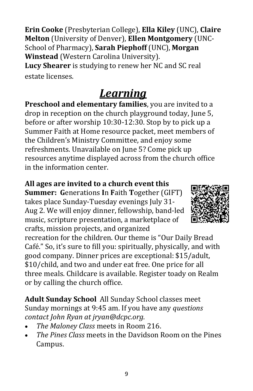**Erin Cooke** (Presbyterian College), **Ella Kiley** (UNC), **Claire Melton** (University of Denver), **Ellen Montgomery** (UNC-School of Pharmacy), **Sarah Piephoff** (UNC), **Morgan Winstead** (Western Carolina University).

**Lucy Shearer** is studying to renew her NC and SC real estate licenses.

## *Learning*

**Preschool and elementary families**, you are invited to a drop in reception on the church playground today, June 5, before or after worship 10:30-12:30. Stop by to pick up a Summer Faith at Home resource packet, meet members of the Children's Ministry Committee, and enjoy some refreshments. Unavailable on June 5? Come pick up resources anytime displayed across from the church office in the information center.

### **All ages are invited to a church event this**

**Summer: G**enerations **I**n **F**aith **T**ogether (GIFT) takes place Sunday-Tuesday evenings July 31- Aug 2. We will enjoy dinner, fellowship, band-led music, scripture presentation, a marketplace of crafts, mission projects, and organized

recreation for the children. Our theme is "Our Daily Bread Café." So, it's sure to fill you: spiritually, physically, and with good company. Dinner prices are exceptional: \$15/adult, \$10/child, and two and under eat free. One price for all three meals. Childcare is available. Register toady on Realm or by calling the church office.

**Adult Sunday School** All Sunday School classes meet Sunday mornings at 9:45 am. If you have any *questions contact John Ryan at jryan@dcpc.org.*

- *The Maloney Class* meets in Room 216.
- *The Pines Class* meets in the Davidson Room on the Pines Campus.

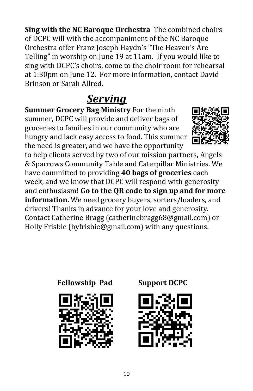**Sing with the NC Baroque Orchestra** The combined choirs of DCPC will with the accompaniment of the NC Baroque Orchestra offer Franz Joseph Haydn's "The Heaven's Are Telling" in worship on June 19 at 11am. If you would like to sing with DCPC's choirs, come to the choir room for rehearsal at 1:30pm on June 12. For more information, contact David Brinson or Sarah Allred.

## *Serving*

**Summer Grocery Bag Ministry** For the ninth summer, DCPC will provide and deliver bags of groceries to families in our community who are hungry and lack easy access to food. This summer the need is greater, and we have the opportunity



to help clients served by two of our mission partners, Angels & Sparrows Community Table and Caterpillar Ministries. We have committed to providing **40 bags of groceries** each week, and we know that DCPC will respond with generosity and enthusiasm! **Go to the QR code to sign up and for more information.** We need grocery buyers, sorters/loaders, and drivers! Thanks in advance for your love and generosity. Contact Catherine Bragg [\(catherinebragg68@gmail.com\)](mailto:catherinebragg68@gmail.com) or Holly Frisbie ([hyfrisbie@gmail.com\)](mailto:hyfrisbie@gmail.com) with any questions.





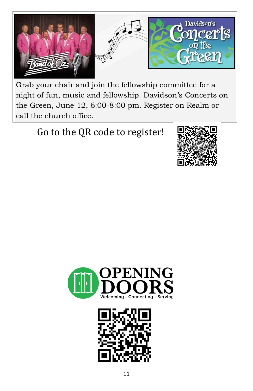

Grab your chair and join the fellowship committee for a night of fun, music and fellowship. Davidson's Concerts on the Green, June 12, 6:00-8:00 pm. Register on Realm or call the church office.

## Go to the QR code to register!